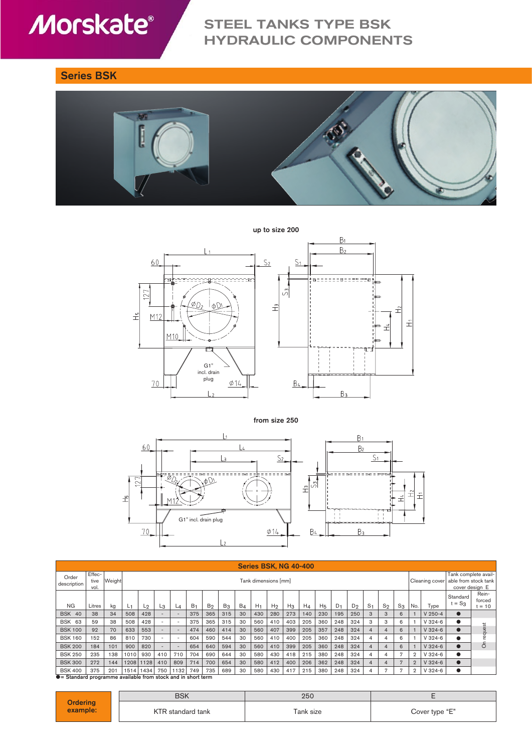# **Morskate®**

## STEEL TANKS TYPE BSK HYDRAULIC COMPONENTS

### Series BSK



up to size 200



from size 250



| <b>Series BSK, NG 40-400</b>                                                            |                        |        |                      |       |                          |       |                |                |       |       |                |                |       |       |                                                                |       |       |                |                |              |                |             |                      |                           |
|-----------------------------------------------------------------------------------------|------------------------|--------|----------------------|-------|--------------------------|-------|----------------|----------------|-------|-------|----------------|----------------|-------|-------|----------------------------------------------------------------|-------|-------|----------------|----------------|--------------|----------------|-------------|----------------------|---------------------------|
| Order<br>description                                                                    | Effec-<br>tive<br>vol. | Weight | Tank dimensions [mm] |       |                          |       |                |                |       |       |                | Cleaning cover |       |       | Tank complete avail-<br>able from stock tank<br>cover design E |       |       |                |                |              |                |             |                      |                           |
| <b>NG</b>                                                                               | Litres                 | kg     | L1                   | $L_2$ | L <sub>3</sub>           | $L_4$ | B <sub>1</sub> | B <sub>2</sub> | $B_3$ | $B_4$ | H <sub>1</sub> | H <sub>2</sub> | $H_3$ | $H_4$ | H <sub>5</sub>                                                 | $D_1$ | $D_2$ | S <sub>1</sub> | $S_2$          | $S_3$        | No.            | Type        | Standard<br>$t = S3$ | Rein-<br>forced<br>$= 10$ |
| <b>BSK 40</b>                                                                           | 38                     | 34     | 508                  | 428   |                          |       | 375            | 365            | 315   | 30    | 430            | 280            | 273   | 140   | 230                                                            | 195   | 250   | 3              | 3              | 6            |                | $V 250 - 4$ |                      |                           |
| <b>BSK 63</b>                                                                           | 59                     | 38     | 508                  | 428   |                          |       | 375            | 365            | 315   | 30    | 560            | 410            | 403   | 205   | 360                                                            | 248   | 324   | 3              | 3              | 6            |                | $V324-6$    |                      |                           |
| <b>BSK 100</b>                                                                          | 92                     | 70     | 633                  | 553   | ۰                        |       | 474            | 460            | 414   | 30    | 560            | 407            | 399   | 205   | 357                                                            | 248   | 324   | 4              | $\overline{4}$ | 6            |                | $V$ 324-6   |                      | uest                      |
| <b>BSK 160</b>                                                                          | 152                    | 86     | 810                  | 730   | $\overline{\phantom{a}}$ |       | 604            | 590            | 544   | 30    | 560            | 410            | 400   | 205   | 360                                                            | 248   | 324   | 4              | 4              | 6            |                | $V324-6$    |                      |                           |
| <b>BSK 200</b>                                                                          | 184                    | 101    | 900                  | 820   |                          |       | 654            | 640            | 594   | 30    | 560            | 410            | 399   | 205   | 360                                                            | 248   | 324   | 4              | 4              | 6            |                | $V$ 324-6   |                      | ō                         |
| <b>BSK 250</b>                                                                          | 235                    | 138    | 1010                 | 930   | 410                      | 710   | 704            | 690            | 644   | 30    | 580            | 430            | 418   | 215   | 380                                                            | 248   | 324   | 4              | 4              | Ð            | $\overline{2}$ | $V$ 324-6   |                      |                           |
| <b>BSK 300</b>                                                                          | 272                    | 144    | 1208                 | 1128  | 410                      | 809   | 714            | 700            | 654   | 30    | 580            | 412            | 400   | 206   | 362                                                            | 248   | 324   | 4              | 4              | $\mathbf{r}$ | $\overline{2}$ | $V$ 324-6   |                      |                           |
| <b>BSK 400</b><br>$\bullet$ = Standard programme available from stock and in short term | 375                    | 201    | 1514                 | 1434  | 750                      | 1132  | 749            | 735            | 689   | 30    | 580            | 430            | 417   | 215   | 380                                                            | 248   | 324   | 4              | 7              |              | $\overline{2}$ | $V$ 324-6   |                      |                           |

ard programme available from stock and in short term

|                      | <b>BSK</b>        | 250       |                |  |  |  |
|----------------------|-------------------|-----------|----------------|--|--|--|
| Ordering<br>example: | KTR standard tank | Tank size | Cover type "E" |  |  |  |